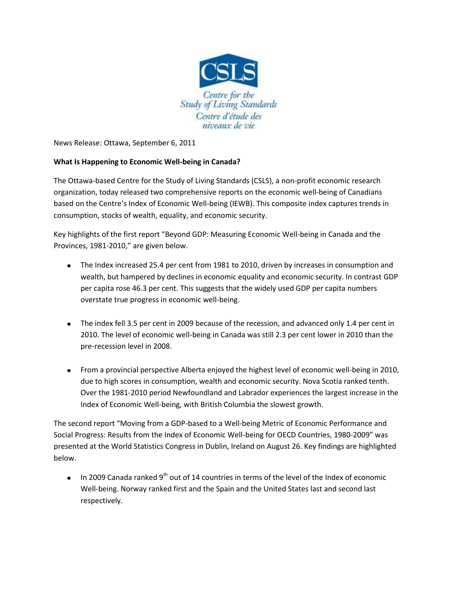

News Release: Ottawa, September 6, 2011

## **What Is Happening to Economic Well-being in Canada?**

The Ottawa-based Centre for the Study of Living Standards (CSLS), a non-profit economic research organization, today released two comprehensive reports on the economic well-being of Canadians based on the Centre's Index of Economic Well-being (IEWB). This composite index captures trends in consumption, stocks of wealth, equality, and economic security.

Key highlights of the first report "Beyond GDP: Measuring Economic Well-being in Canada and the Provinces, 1981-2010," are given below.

- The Index increased 25.4 per cent from 1981 to 2010, driven by increases in consumption and wealth, but hampered by declines in economic equality and economic security. In contrast GDP per capita rose 46.3 per cent. This suggests that the widely used GDP per capita numbers overstate true progress in economic well-being.
- The index fell 3.5 per cent in 2009 because of the recession, and advanced only 1.4 per cent in 2010. The level of economic well-being in Canada was still 2.3 per cent lower in 2010 than the pre-recession level in 2008.
- From a provincial perspective Alberta enjoyed the highest level of economic well-being in 2010, due to high scores in consumption, wealth and economic security. Nova Scotia ranked tenth. Over the 1981-2010 period Newfoundland and Labrador experiences the largest increase in the Index of Economic Well-being, with British Columbia the slowest growth.

The second report "Moving from a GDP-based to a Well-being Metric of Economic Performance and Social Progress: Results from the Index of Economic Well-being for OECD Countries, 1980-2009" was presented at the World Statistics Congress in Dublin, Ireland on August 26. Key findings are highlighted below.

 $\bullet$  In 2009 Canada ranked 9<sup>th</sup> out of 14 countries in terms of the level of the Index of economic Well-being. Norway ranked first and the Spain and the United States last and second last respectively.